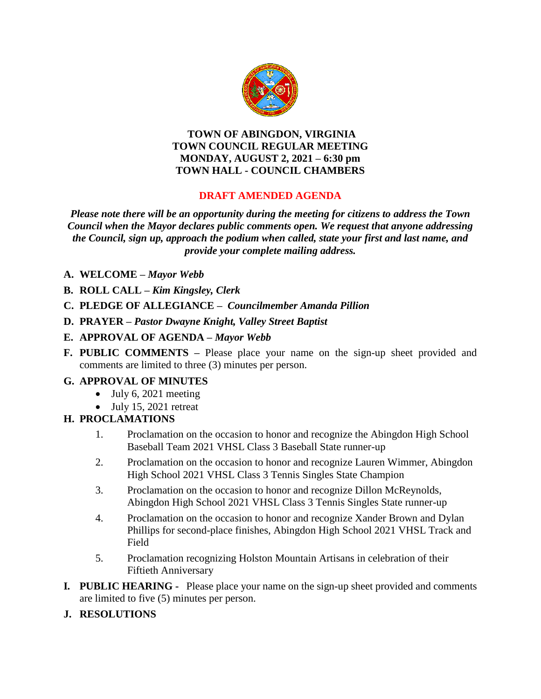

#### **TOWN OF ABINGDON, VIRGINIA TOWN COUNCIL REGULAR MEETING MONDAY, AUGUST 2, 2021 – 6:30 pm TOWN HALL - COUNCIL CHAMBERS**

#### **DRAFT AMENDED AGENDA**

*Please note there will be an opportunity during the meeting for citizens to address the Town Council when the Mayor declares public comments open. We request that anyone addressing the Council, sign up, approach the podium when called, state your first and last name, and provide your complete mailing address.*

- **A. WELCOME –** *Mayor Webb*
- **B. ROLL CALL –** *Kim Kingsley, Clerk*
- **C. PLEDGE OF ALLEGIANCE –** *Councilmember Amanda Pillion*
- **D. PRAYER –** *Pastor Dwayne Knight, Valley Street Baptist*
- **E. APPROVAL OF AGENDA –** *Mayor Webb*
- **F. PUBLIC COMMENTS –** Please place your name on the sign-up sheet provided and comments are limited to three (3) minutes per person.

### **G. APPROVAL OF MINUTES**

- $\bullet$  July 6, 2021 meeting
- July 15, 2021 retreat

#### **H. PROCLAMATIONS**

- 1. Proclamation on the occasion to honor and recognize the Abingdon High School Baseball Team 2021 VHSL Class 3 Baseball State runner-up
- 2. Proclamation on the occasion to honor and recognize Lauren Wimmer, Abingdon High School 2021 VHSL Class 3 Tennis Singles State Champion
- 3. Proclamation on the occasion to honor and recognize Dillon McReynolds, Abingdon High School 2021 VHSL Class 3 Tennis Singles State runner-up
- 4. Proclamation on the occasion to honor and recognize Xander Brown and Dylan Phillips for second-place finishes, Abingdon High School 2021 VHSL Track and Field
- 5. Proclamation recognizing Holston Mountain Artisans in celebration of their Fiftieth Anniversary
- **I***.* **PUBLIC HEARING** Please place your name on the sign-up sheet provided and comments are limited to five (5) minutes per person.
- **J. RESOLUTIONS**